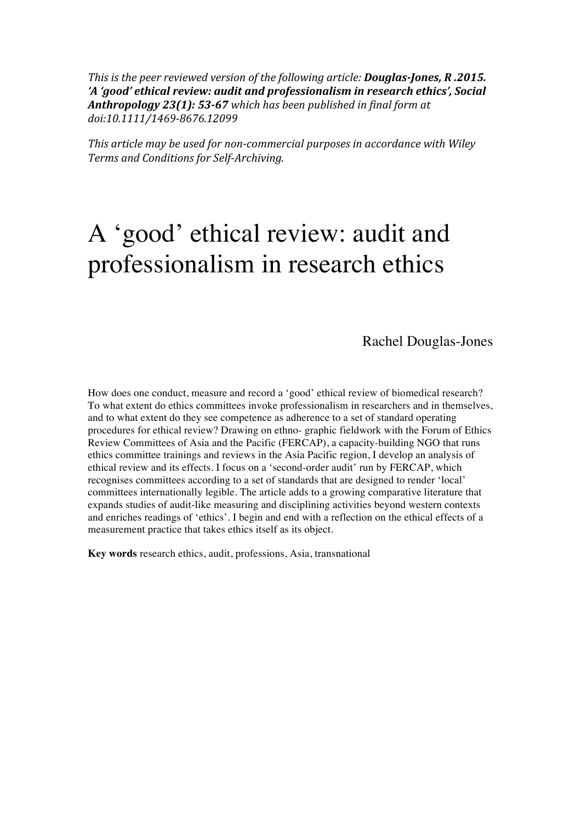*This is the peer reviewed version of the following article: Douglas-Jones, R.2015. 'A* 'good' ethical review: audit and professionalism in research ethics', Social Anthropology 23(1): 53-67 which has been published in final form at *doi:10.1111/1469-8676.12099* 

This article may be used for non-commercial purposes in accordance with Wiley *Terms and Conditions for Self-Archiving.*

# A 'good' ethical review: audit and professionalism in research ethics

Rachel Douglas-Jones

How does one conduct, measure and record a 'good' ethical review of biomedical research? To what extent do ethics committees invoke professionalism in researchers and in themselves, and to what extent do they see competence as adherence to a set of standard operating procedures for ethical review? Drawing on ethno- graphic fieldwork with the Forum of Ethics Review Committees of Asia and the Pacific (FERCAP), a capacity-building NGO that runs ethics committee trainings and reviews in the Asia Pacific region, I develop an analysis of ethical review and its effects. I focus on a 'second-order audit' run by FERCAP, which recognises committees according to a set of standards that are designed to render 'local' committees internationally legible. The article adds to a growing comparative literature that expands studies of audit-like measuring and disciplining activities beyond western contexts and enriches readings of 'ethics'. I begin and end with a reflection on the ethical effects of a measurement practice that takes ethics itself as its object.

**Key words** research ethics, audit, professions, Asia, transnational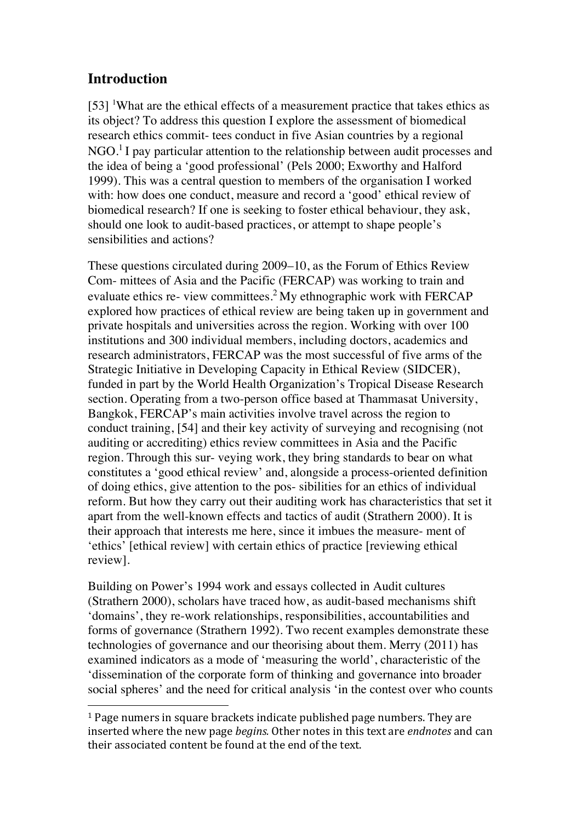# **Introduction**

 $[53]$  <sup>1</sup>What are the ethical effects of a measurement practice that takes ethics as its object? To address this question I explore the assessment of biomedical research ethics commit- tees conduct in five Asian countries by a regional  $NGO<sup>1</sup>$  I pay particular attention to the relationship between audit processes and the idea of being a 'good professional' (Pels 2000; Exworthy and Halford 1999). This was a central question to members of the organisation I worked with: how does one conduct, measure and record a 'good' ethical review of biomedical research? If one is seeking to foster ethical behaviour, they ask, should one look to audit-based practices, or attempt to shape people's sensibilities and actions?

These questions circulated during 2009–10, as the Forum of Ethics Review Com- mittees of Asia and the Pacific (FERCAP) was working to train and evaluate ethics re- view committees.2 My ethnographic work with FERCAP explored how practices of ethical review are being taken up in government and private hospitals and universities across the region. Working with over 100 institutions and 300 individual members, including doctors, academics and research administrators, FERCAP was the most successful of five arms of the Strategic Initiative in Developing Capacity in Ethical Review (SIDCER), funded in part by the World Health Organization's Tropical Disease Research section. Operating from a two-person office based at Thammasat University, Bangkok, FERCAP's main activities involve travel across the region to conduct training, [54] and their key activity of surveying and recognising (not auditing or accrediting) ethics review committees in Asia and the Pacific region. Through this sur- veying work, they bring standards to bear on what constitutes a 'good ethical review' and, alongside a process-oriented definition of doing ethics, give attention to the pos- sibilities for an ethics of individual reform. But how they carry out their auditing work has characteristics that set it apart from the well-known effects and tactics of audit (Strathern 2000). It is their approach that interests me here, since it imbues the measure- ment of 'ethics' [ethical review] with certain ethics of practice [reviewing ethical review].

Building on Power's 1994 work and essays collected in Audit cultures (Strathern 2000), scholars have traced how, as audit-based mechanisms shift 'domains', they re-work relationships, responsibilities, accountabilities and forms of governance (Strathern 1992). Two recent examples demonstrate these technologies of governance and our theorising about them. Merry (2011) has examined indicators as a mode of 'measuring the world', characteristic of the 'dissemination of the corporate form of thinking and governance into broader social spheres' and the need for critical analysis 'in the contest over who counts

 

 $1$  Page numers in square brackets indicate published page numbers. They are inserted where the new page *begins*. Other notes in this text are *endnotes* and can their associated content be found at the end of the text.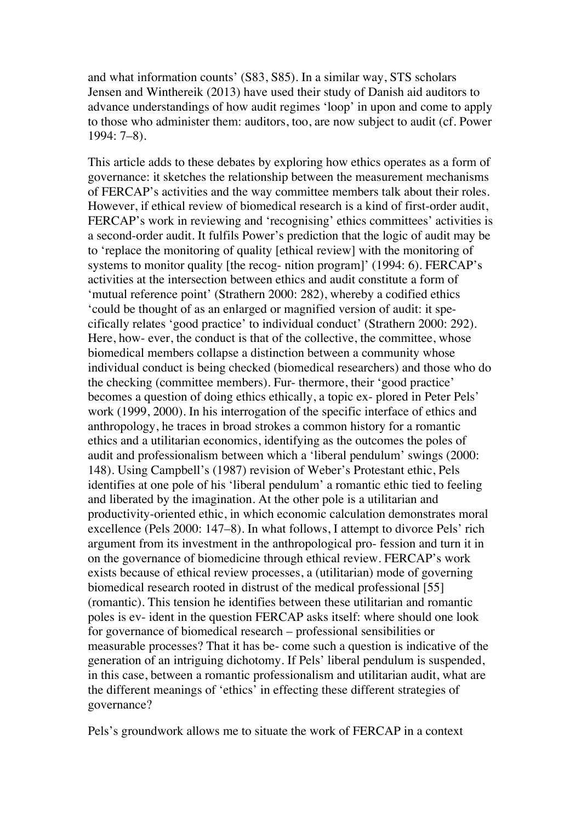and what information counts' (S83, S85). In a similar way, STS scholars Jensen and Winthereik (2013) have used their study of Danish aid auditors to advance understandings of how audit regimes 'loop' in upon and come to apply to those who administer them: auditors, too, are now subject to audit (cf. Power 1994: 7–8).

This article adds to these debates by exploring how ethics operates as a form of governance: it sketches the relationship between the measurement mechanisms of FERCAP's activities and the way committee members talk about their roles. However, if ethical review of biomedical research is a kind of first-order audit, FERCAP's work in reviewing and 'recognising' ethics committees' activities is a second-order audit. It fulfils Power's prediction that the logic of audit may be to 'replace the monitoring of quality [ethical review] with the monitoring of systems to monitor quality [the recog- nition program]' (1994: 6). FERCAP's activities at the intersection between ethics and audit constitute a form of 'mutual reference point' (Strathern 2000: 282), whereby a codified ethics 'could be thought of as an enlarged or magnified version of audit: it specifically relates 'good practice' to individual conduct' (Strathern 2000: 292). Here, how- ever, the conduct is that of the collective, the committee, whose biomedical members collapse a distinction between a community whose individual conduct is being checked (biomedical researchers) and those who do the checking (committee members). Fur- thermore, their 'good practice' becomes a question of doing ethics ethically, a topic ex- plored in Peter Pels' work (1999, 2000). In his interrogation of the specific interface of ethics and anthropology, he traces in broad strokes a common history for a romantic ethics and a utilitarian economics, identifying as the outcomes the poles of audit and professionalism between which a 'liberal pendulum' swings (2000: 148). Using Campbell's (1987) revision of Weber's Protestant ethic, Pels identifies at one pole of his 'liberal pendulum' a romantic ethic tied to feeling and liberated by the imagination. At the other pole is a utilitarian and productivity-oriented ethic, in which economic calculation demonstrates moral excellence (Pels 2000: 147–8). In what follows, I attempt to divorce Pels' rich argument from its investment in the anthropological pro- fession and turn it in on the governance of biomedicine through ethical review. FERCAP's work exists because of ethical review processes, a (utilitarian) mode of governing biomedical research rooted in distrust of the medical professional [55] (romantic). This tension he identifies between these utilitarian and romantic poles is ev- ident in the question FERCAP asks itself: where should one look for governance of biomedical research – professional sensibilities or measurable processes? That it has be- come such a question is indicative of the generation of an intriguing dichotomy. If Pels' liberal pendulum is suspended, in this case, between a romantic professionalism and utilitarian audit, what are the different meanings of 'ethics' in effecting these different strategies of governance?

Pels's groundwork allows me to situate the work of FERCAP in a context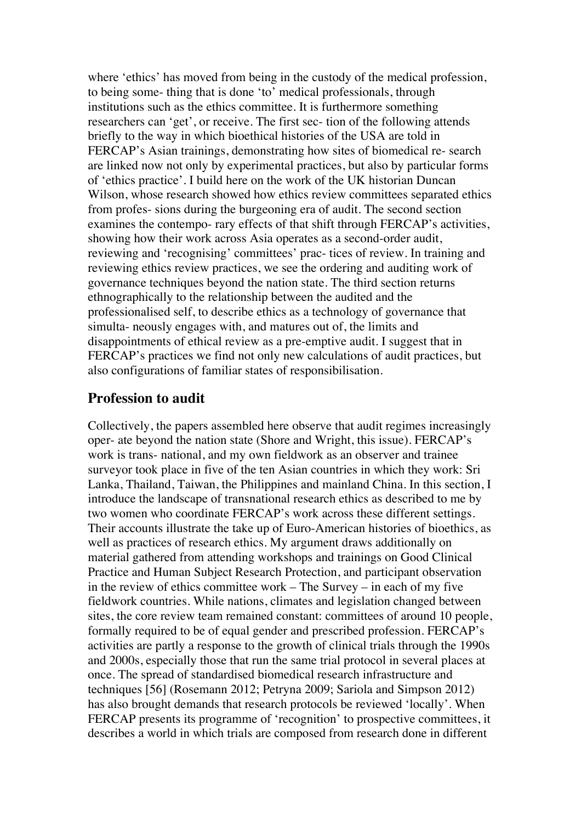where 'ethics' has moved from being in the custody of the medical profession, to being some- thing that is done 'to' medical professionals, through institutions such as the ethics committee. It is furthermore something researchers can 'get', or receive. The first sec- tion of the following attends briefly to the way in which bioethical histories of the USA are told in FERCAP's Asian trainings, demonstrating how sites of biomedical re- search are linked now not only by experimental practices, but also by particular forms of 'ethics practice'. I build here on the work of the UK historian Duncan Wilson, whose research showed how ethics review committees separated ethics from profes- sions during the burgeoning era of audit. The second section examines the contempo- rary effects of that shift through FERCAP's activities, showing how their work across Asia operates as a second-order audit, reviewing and 'recognising' committees' prac- tices of review. In training and reviewing ethics review practices, we see the ordering and auditing work of governance techniques beyond the nation state. The third section returns ethnographically to the relationship between the audited and the professionalised self, to describe ethics as a technology of governance that simulta- neously engages with, and matures out of, the limits and disappointments of ethical review as a pre-emptive audit. I suggest that in FERCAP's practices we find not only new calculations of audit practices, but also configurations of familiar states of responsibilisation.

#### **Profession to audit**

Collectively, the papers assembled here observe that audit regimes increasingly oper- ate beyond the nation state (Shore and Wright, this issue). FERCAP's work is trans- national, and my own fieldwork as an observer and trainee surveyor took place in five of the ten Asian countries in which they work: Sri Lanka, Thailand, Taiwan, the Philippines and mainland China. In this section, I introduce the landscape of transnational research ethics as described to me by two women who coordinate FERCAP's work across these different settings. Their accounts illustrate the take up of Euro-American histories of bioethics, as well as practices of research ethics. My argument draws additionally on material gathered from attending workshops and trainings on Good Clinical Practice and Human Subject Research Protection, and participant observation in the review of ethics committee work – The Survey – in each of my five fieldwork countries. While nations, climates and legislation changed between sites, the core review team remained constant: committees of around 10 people, formally required to be of equal gender and prescribed profession. FERCAP's activities are partly a response to the growth of clinical trials through the 1990s and 2000s, especially those that run the same trial protocol in several places at once. The spread of standardised biomedical research infrastructure and techniques [56] (Rosemann 2012; Petryna 2009; Sariola and Simpson 2012) has also brought demands that research protocols be reviewed 'locally'. When FERCAP presents its programme of 'recognition' to prospective committees, it describes a world in which trials are composed from research done in different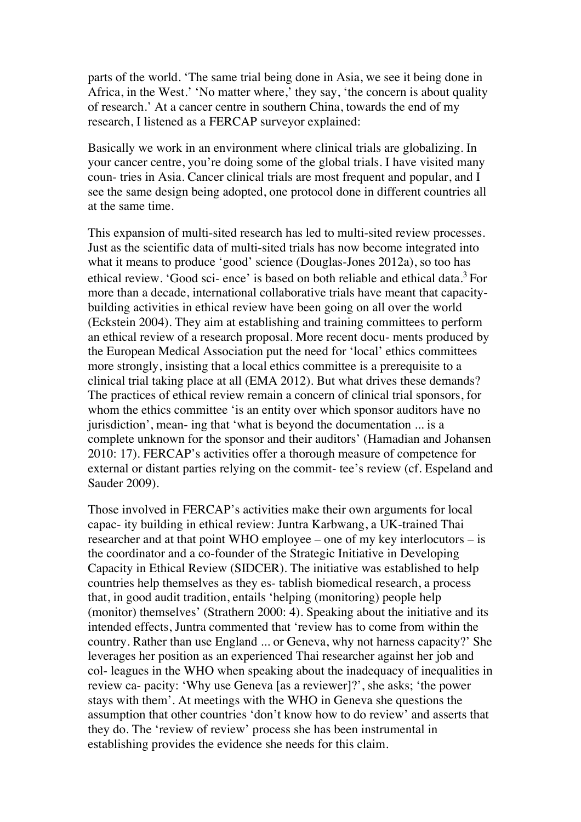parts of the world. 'The same trial being done in Asia, we see it being done in Africa, in the West.' 'No matter where,' they say, 'the concern is about quality of research.' At a cancer centre in southern China, towards the end of my research, I listened as a FERCAP surveyor explained:

Basically we work in an environment where clinical trials are globalizing. In your cancer centre, you're doing some of the global trials. I have visited many coun- tries in Asia. Cancer clinical trials are most frequent and popular, and I see the same design being adopted, one protocol done in different countries all at the same time.

This expansion of multi-sited research has led to multi-sited review processes. Just as the scientific data of multi-sited trials has now become integrated into what it means to produce 'good' science (Douglas-Jones 2012a), so too has ethical review. 'Good sci- ence' is based on both reliable and ethical data.<sup>3</sup> For more than a decade, international collaborative trials have meant that capacitybuilding activities in ethical review have been going on all over the world (Eckstein 2004). They aim at establishing and training committees to perform an ethical review of a research proposal. More recent docu- ments produced by the European Medical Association put the need for 'local' ethics committees more strongly, insisting that a local ethics committee is a prerequisite to a clinical trial taking place at all (EMA 2012). But what drives these demands? The practices of ethical review remain a concern of clinical trial sponsors, for whom the ethics committee 'is an entity over which sponsor auditors have no jurisdiction', mean- ing that 'what is beyond the documentation ... is a complete unknown for the sponsor and their auditors' (Hamadian and Johansen 2010: 17). FERCAP's activities offer a thorough measure of competence for external or distant parties relying on the commit- tee's review (cf. Espeland and Sauder 2009).

Those involved in FERCAP's activities make their own arguments for local capac- ity building in ethical review: Juntra Karbwang, a UK-trained Thai researcher and at that point WHO employee – one of my key interlocutors – is the coordinator and a co-founder of the Strategic Initiative in Developing Capacity in Ethical Review (SIDCER). The initiative was established to help countries help themselves as they es- tablish biomedical research, a process that, in good audit tradition, entails 'helping (monitoring) people help (monitor) themselves' (Strathern 2000: 4). Speaking about the initiative and its intended effects, Juntra commented that 'review has to come from within the country. Rather than use England ... or Geneva, why not harness capacity?' She leverages her position as an experienced Thai researcher against her job and col- leagues in the WHO when speaking about the inadequacy of inequalities in review ca- pacity: 'Why use Geneva [as a reviewer]?', she asks; 'the power stays with them'. At meetings with the WHO in Geneva she questions the assumption that other countries 'don't know how to do review' and asserts that they do. The 'review of review' process she has been instrumental in establishing provides the evidence she needs for this claim.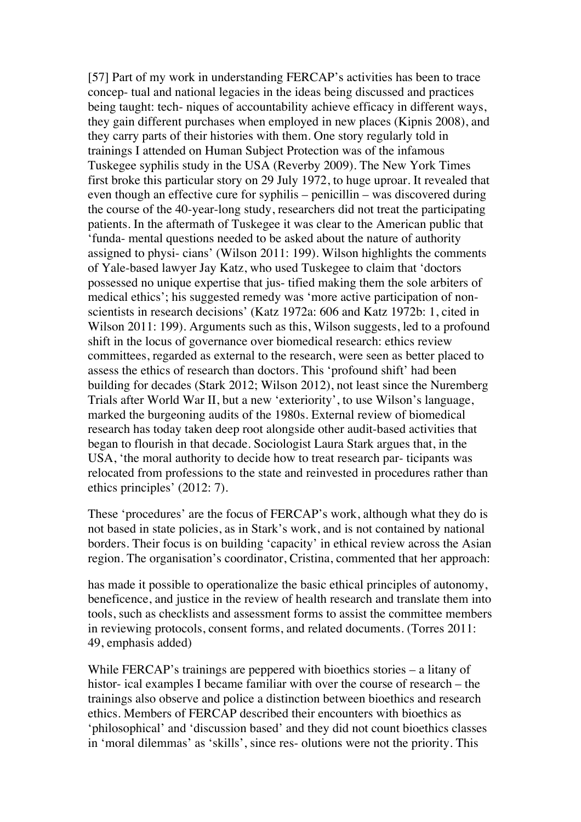[57] Part of my work in understanding FERCAP's activities has been to trace concep- tual and national legacies in the ideas being discussed and practices being taught: tech- niques of accountability achieve efficacy in different ways, they gain different purchases when employed in new places (Kipnis 2008), and they carry parts of their histories with them. One story regularly told in trainings I attended on Human Subject Protection was of the infamous Tuskegee syphilis study in the USA (Reverby 2009). The New York Times first broke this particular story on 29 July 1972, to huge uproar. It revealed that even though an effective cure for syphilis – penicillin – was discovered during the course of the 40-year-long study, researchers did not treat the participating patients. In the aftermath of Tuskegee it was clear to the American public that 'funda- mental questions needed to be asked about the nature of authority assigned to physi- cians' (Wilson 2011: 199). Wilson highlights the comments of Yale-based lawyer Jay Katz, who used Tuskegee to claim that 'doctors possessed no unique expertise that jus- tified making them the sole arbiters of medical ethics'; his suggested remedy was 'more active participation of nonscientists in research decisions' (Katz 1972a: 606 and Katz 1972b: 1, cited in Wilson 2011: 199). Arguments such as this, Wilson suggests, led to a profound shift in the locus of governance over biomedical research: ethics review committees, regarded as external to the research, were seen as better placed to assess the ethics of research than doctors. This 'profound shift' had been building for decades (Stark 2012; Wilson 2012), not least since the Nuremberg Trials after World War II, but a new 'exteriority', to use Wilson's language, marked the burgeoning audits of the 1980s. External review of biomedical research has today taken deep root alongside other audit-based activities that began to flourish in that decade. Sociologist Laura Stark argues that, in the USA, 'the moral authority to decide how to treat research par- ticipants was relocated from professions to the state and reinvested in procedures rather than ethics principles' (2012: 7).

These 'procedures' are the focus of FERCAP's work, although what they do is not based in state policies, as in Stark's work, and is not contained by national borders. Their focus is on building 'capacity' in ethical review across the Asian region. The organisation's coordinator, Cristina, commented that her approach:

has made it possible to operationalize the basic ethical principles of autonomy, beneficence, and justice in the review of health research and translate them into tools, such as checklists and assessment forms to assist the committee members in reviewing protocols, consent forms, and related documents. (Torres 2011: 49, emphasis added)

While FERCAP's trainings are peppered with bioethics stories – a litany of histor- ical examples I became familiar with over the course of research – the trainings also observe and police a distinction between bioethics and research ethics. Members of FERCAP described their encounters with bioethics as 'philosophical' and 'discussion based' and they did not count bioethics classes in 'moral dilemmas' as 'skills', since res- olutions were not the priority. This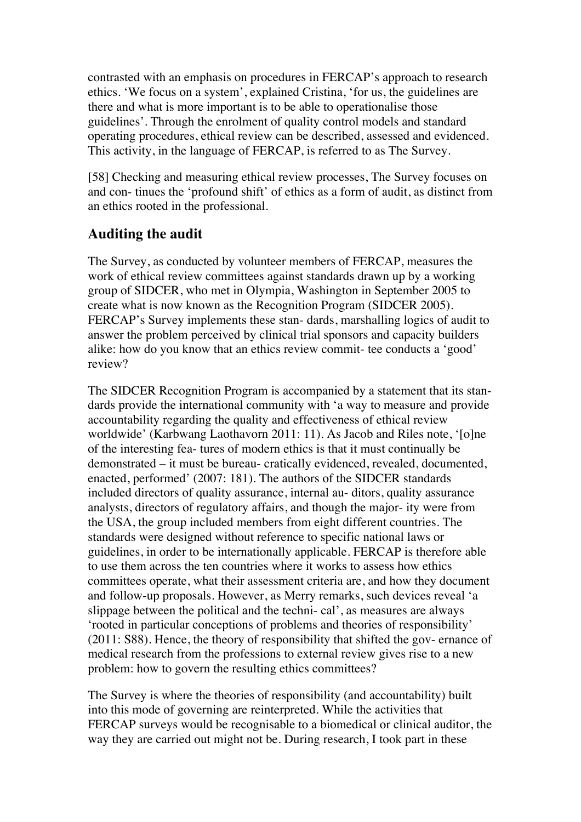contrasted with an emphasis on procedures in FERCAP's approach to research ethics. 'We focus on a system', explained Cristina, 'for us, the guidelines are there and what is more important is to be able to operationalise those guidelines'. Through the enrolment of quality control models and standard operating procedures, ethical review can be described, assessed and evidenced. This activity, in the language of FERCAP, is referred to as The Survey.

[58] Checking and measuring ethical review processes, The Survey focuses on and con- tinues the 'profound shift' of ethics as a form of audit, as distinct from an ethics rooted in the professional.

# **Auditing the audit**

The Survey, as conducted by volunteer members of FERCAP, measures the work of ethical review committees against standards drawn up by a working group of SIDCER, who met in Olympia, Washington in September 2005 to create what is now known as the Recognition Program (SIDCER 2005). FERCAP's Survey implements these stan- dards, marshalling logics of audit to answer the problem perceived by clinical trial sponsors and capacity builders alike: how do you know that an ethics review commit- tee conducts a 'good' review?

The SIDCER Recognition Program is accompanied by a statement that its standards provide the international community with 'a way to measure and provide accountability regarding the quality and effectiveness of ethical review worldwide' (Karbwang Laothavorn 2011: 11). As Jacob and Riles note, '[o]ne of the interesting fea- tures of modern ethics is that it must continually be demonstrated – it must be bureau- cratically evidenced, revealed, documented, enacted, performed' (2007: 181). The authors of the SIDCER standards included directors of quality assurance, internal au- ditors, quality assurance analysts, directors of regulatory affairs, and though the major- ity were from the USA, the group included members from eight different countries. The standards were designed without reference to specific national laws or guidelines, in order to be internationally applicable. FERCAP is therefore able to use them across the ten countries where it works to assess how ethics committees operate, what their assessment criteria are, and how they document and follow-up proposals. However, as Merry remarks, such devices reveal 'a slippage between the political and the techni- cal', as measures are always 'rooted in particular conceptions of problems and theories of responsibility' (2011: S88). Hence, the theory of responsibility that shifted the gov- ernance of medical research from the professions to external review gives rise to a new problem: how to govern the resulting ethics committees?

The Survey is where the theories of responsibility (and accountability) built into this mode of governing are reinterpreted. While the activities that FERCAP surveys would be recognisable to a biomedical or clinical auditor, the way they are carried out might not be. During research, I took part in these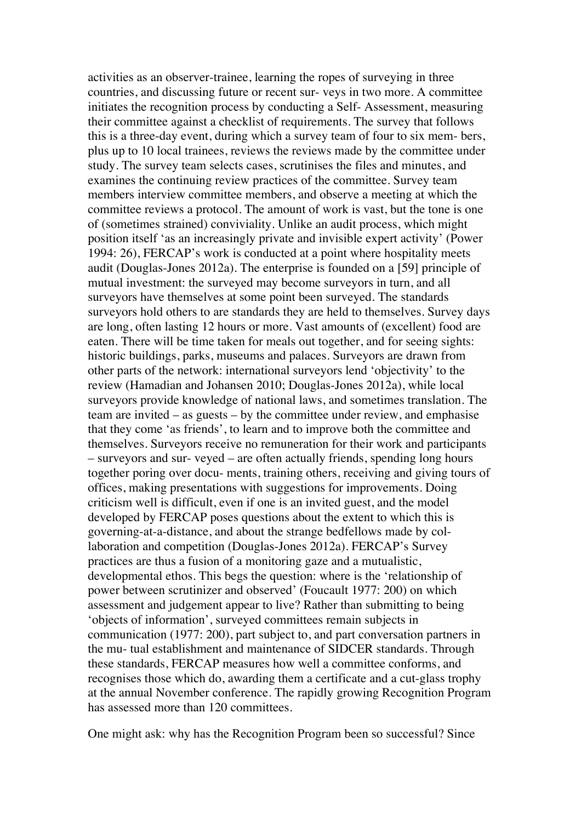activities as an observer-trainee, learning the ropes of surveying in three countries, and discussing future or recent sur- veys in two more. A committee initiates the recognition process by conducting a Self- Assessment, measuring their committee against a checklist of requirements. The survey that follows this is a three-day event, during which a survey team of four to six mem- bers, plus up to 10 local trainees, reviews the reviews made by the committee under study. The survey team selects cases, scrutinises the files and minutes, and examines the continuing review practices of the committee. Survey team members interview committee members, and observe a meeting at which the committee reviews a protocol. The amount of work is vast, but the tone is one of (sometimes strained) conviviality. Unlike an audit process, which might position itself 'as an increasingly private and invisible expert activity' (Power 1994: 26), FERCAP's work is conducted at a point where hospitality meets audit (Douglas-Jones 2012a). The enterprise is founded on a [59] principle of mutual investment: the surveyed may become surveyors in turn, and all surveyors have themselves at some point been surveyed. The standards surveyors hold others to are standards they are held to themselves. Survey days are long, often lasting 12 hours or more. Vast amounts of (excellent) food are eaten. There will be time taken for meals out together, and for seeing sights: historic buildings, parks, museums and palaces. Surveyors are drawn from other parts of the network: international surveyors lend 'objectivity' to the review (Hamadian and Johansen 2010; Douglas-Jones 2012a), while local surveyors provide knowledge of national laws, and sometimes translation. The team are invited – as guests – by the committee under review, and emphasise that they come 'as friends', to learn and to improve both the committee and themselves. Surveyors receive no remuneration for their work and participants – surveyors and sur- veyed – are often actually friends, spending long hours together poring over docu- ments, training others, receiving and giving tours of offices, making presentations with suggestions for improvements. Doing criticism well is difficult, even if one is an invited guest, and the model developed by FERCAP poses questions about the extent to which this is governing-at-a-distance, and about the strange bedfellows made by collaboration and competition (Douglas-Jones 2012a). FERCAP's Survey practices are thus a fusion of a monitoring gaze and a mutualistic, developmental ethos. This begs the question: where is the 'relationship of power between scrutinizer and observed' (Foucault 1977: 200) on which assessment and judgement appear to live? Rather than submitting to being 'objects of information', surveyed committees remain subjects in communication (1977: 200), part subject to, and part conversation partners in the mu- tual establishment and maintenance of SIDCER standards. Through these standards, FERCAP measures how well a committee conforms, and recognises those which do, awarding them a certificate and a cut-glass trophy at the annual November conference. The rapidly growing Recognition Program has assessed more than 120 committees.

One might ask: why has the Recognition Program been so successful? Since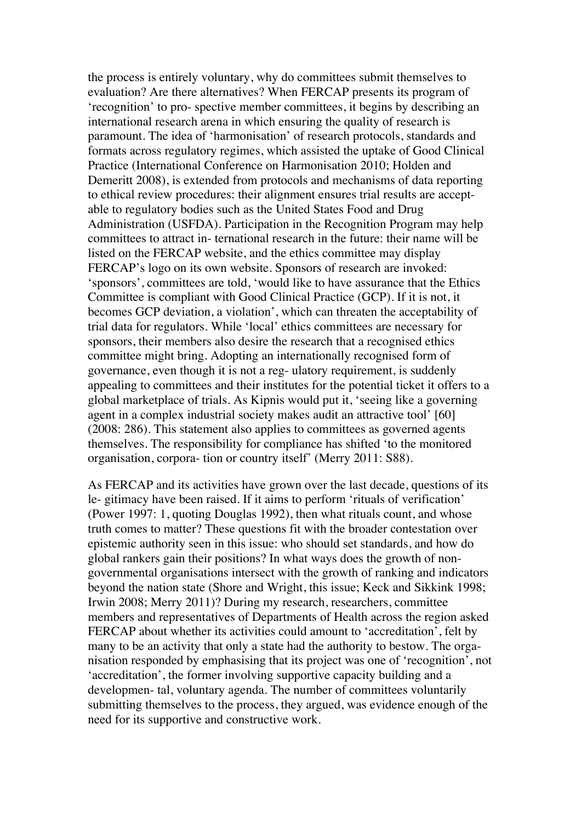the process is entirely voluntary, why do committees submit themselves to evaluation? Are there alternatives? When FERCAP presents its program of 'recognition' to pro- spective member committees, it begins by describing an international research arena in which ensuring the quality of research is paramount. The idea of 'harmonisation' of research protocols, standards and formats across regulatory regimes, which assisted the uptake of Good Clinical Practice (International Conference on Harmonisation 2010; Holden and Demeritt 2008), is extended from protocols and mechanisms of data reporting to ethical review procedures: their alignment ensures trial results are acceptable to regulatory bodies such as the United States Food and Drug Administration (USFDA). Participation in the Recognition Program may help committees to attract in- ternational research in the future: their name will be listed on the FERCAP website, and the ethics committee may display FERCAP's logo on its own website. Sponsors of research are invoked: 'sponsors', committees are told, 'would like to have assurance that the Ethics Committee is compliant with Good Clinical Practice (GCP). If it is not, it becomes GCP deviation, a violation', which can threaten the acceptability of trial data for regulators. While 'local' ethics committees are necessary for sponsors, their members also desire the research that a recognised ethics committee might bring. Adopting an internationally recognised form of governance, even though it is not a reg- ulatory requirement, is suddenly appealing to committees and their institutes for the potential ticket it offers to a global marketplace of trials. As Kipnis would put it, 'seeing like a governing agent in a complex industrial society makes audit an attractive tool' [60] (2008: 286). This statement also applies to committees as governed agents themselves. The responsibility for compliance has shifted 'to the monitored organisation, corpora- tion or country itself' (Merry 2011: S88).

As FERCAP and its activities have grown over the last decade, questions of its le- gitimacy have been raised. If it aims to perform 'rituals of verification' (Power 1997: 1, quoting Douglas 1992), then what rituals count, and whose truth comes to matter? These questions fit with the broader contestation over epistemic authority seen in this issue: who should set standards, and how do global rankers gain their positions? In what ways does the growth of nongovernmental organisations intersect with the growth of ranking and indicators beyond the nation state (Shore and Wright, this issue; Keck and Sikkink 1998; Irwin 2008; Merry 2011)? During my research, researchers, committee members and representatives of Departments of Health across the region asked FERCAP about whether its activities could amount to 'accreditation', felt by many to be an activity that only a state had the authority to bestow. The organisation responded by emphasising that its project was one of 'recognition', not 'accreditation', the former involving supportive capacity building and a developmen- tal, voluntary agenda. The number of committees voluntarily submitting themselves to the process, they argued, was evidence enough of the need for its supportive and constructive work.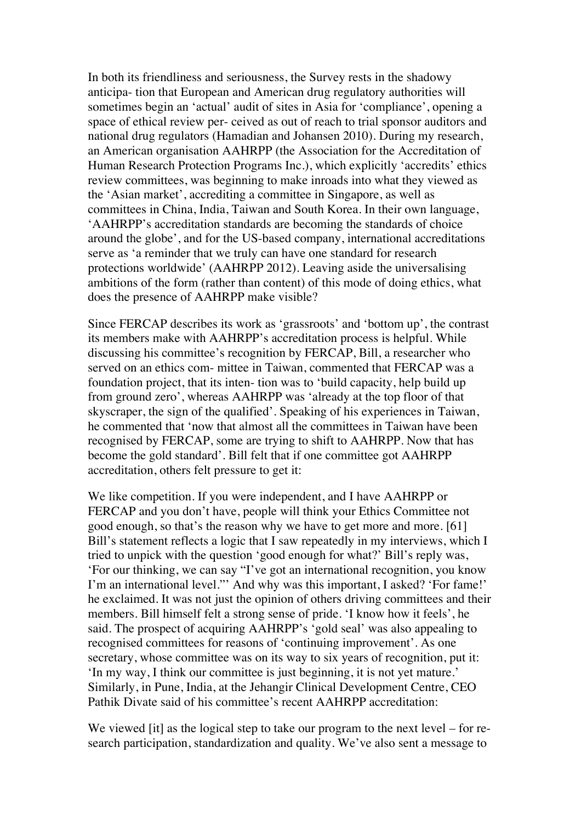In both its friendliness and seriousness, the Survey rests in the shadowy anticipa- tion that European and American drug regulatory authorities will sometimes begin an 'actual' audit of sites in Asia for 'compliance', opening a space of ethical review per- ceived as out of reach to trial sponsor auditors and national drug regulators (Hamadian and Johansen 2010). During my research, an American organisation AAHRPP (the Association for the Accreditation of Human Research Protection Programs Inc.), which explicitly 'accredits' ethics review committees, was beginning to make inroads into what they viewed as the 'Asian market', accrediting a committee in Singapore, as well as committees in China, India, Taiwan and South Korea. In their own language, 'AAHRPP's accreditation standards are becoming the standards of choice around the globe', and for the US-based company, international accreditations serve as 'a reminder that we truly can have one standard for research protections worldwide' (AAHRPP 2012). Leaving aside the universalising ambitions of the form (rather than content) of this mode of doing ethics, what does the presence of AAHRPP make visible?

Since FERCAP describes its work as 'grassroots' and 'bottom up', the contrast its members make with AAHRPP's accreditation process is helpful. While discussing his committee's recognition by FERCAP, Bill, a researcher who served on an ethics com- mittee in Taiwan, commented that FERCAP was a foundation project, that its inten- tion was to 'build capacity, help build up from ground zero', whereas AAHRPP was 'already at the top floor of that skyscraper, the sign of the qualified'. Speaking of his experiences in Taiwan, he commented that 'now that almost all the committees in Taiwan have been recognised by FERCAP, some are trying to shift to AAHRPP. Now that has become the gold standard'. Bill felt that if one committee got AAHRPP accreditation, others felt pressure to get it:

We like competition. If you were independent, and I have AAHRPP or FERCAP and you don't have, people will think your Ethics Committee not good enough, so that's the reason why we have to get more and more. [61] Bill's statement reflects a logic that I saw repeatedly in my interviews, which I tried to unpick with the question 'good enough for what?' Bill's reply was, 'For our thinking, we can say "I've got an international recognition, you know I'm an international level."' And why was this important, I asked? 'For fame!' he exclaimed. It was not just the opinion of others driving committees and their members. Bill himself felt a strong sense of pride. 'I know how it feels', he said. The prospect of acquiring AAHRPP's 'gold seal' was also appealing to recognised committees for reasons of 'continuing improvement'. As one secretary, whose committee was on its way to six years of recognition, put it: 'In my way, I think our committee is just beginning, it is not yet mature.' Similarly, in Pune, India, at the Jehangir Clinical Development Centre, CEO Pathik Divate said of his committee's recent AAHRPP accreditation:

We viewed [it] as the logical step to take our program to the next level – for research participation, standardization and quality. We've also sent a message to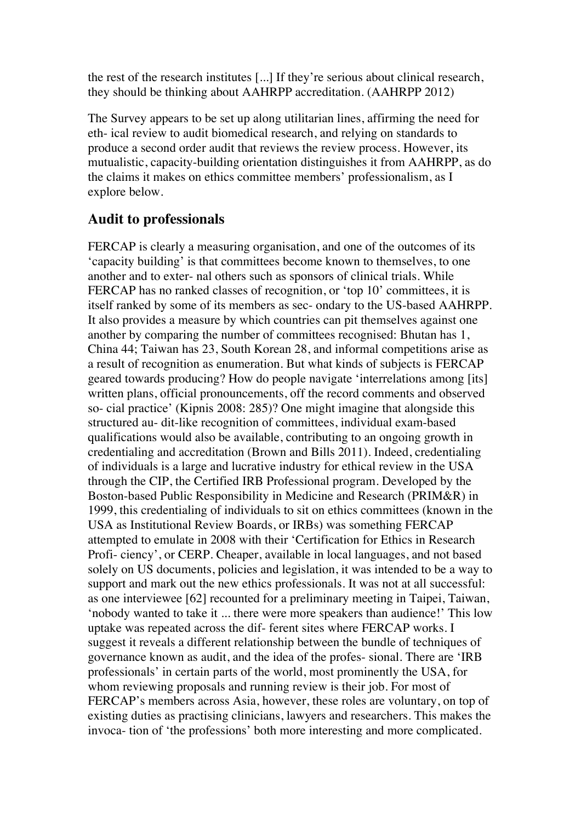the rest of the research institutes [...] If they're serious about clinical research, they should be thinking about AAHRPP accreditation. (AAHRPP 2012)

The Survey appears to be set up along utilitarian lines, affirming the need for eth- ical review to audit biomedical research, and relying on standards to produce a second order audit that reviews the review process. However, its mutualistic, capacity-building orientation distinguishes it from AAHRPP, as do the claims it makes on ethics committee members' professionalism, as I explore below.

## **Audit to professionals**

FERCAP is clearly a measuring organisation, and one of the outcomes of its 'capacity building' is that committees become known to themselves, to one another and to exter- nal others such as sponsors of clinical trials. While FERCAP has no ranked classes of recognition, or 'top 10' committees, it is itself ranked by some of its members as sec- ondary to the US-based AAHRPP. It also provides a measure by which countries can pit themselves against one another by comparing the number of committees recognised: Bhutan has 1, China 44; Taiwan has 23, South Korean 28, and informal competitions arise as a result of recognition as enumeration. But what kinds of subjects is FERCAP geared towards producing? How do people navigate 'interrelations among [its] written plans, official pronouncements, off the record comments and observed so- cial practice' (Kipnis 2008: 285)? One might imagine that alongside this structured au- dit-like recognition of committees, individual exam-based qualifications would also be available, contributing to an ongoing growth in credentialing and accreditation (Brown and Bills 2011). Indeed, credentialing of individuals is a large and lucrative industry for ethical review in the USA through the CIP, the Certified IRB Professional program. Developed by the Boston-based Public Responsibility in Medicine and Research (PRIM&R) in 1999, this credentialing of individuals to sit on ethics committees (known in the USA as Institutional Review Boards, or IRBs) was something FERCAP attempted to emulate in 2008 with their 'Certification for Ethics in Research Profi- ciency', or CERP. Cheaper, available in local languages, and not based solely on US documents, policies and legislation, it was intended to be a way to support and mark out the new ethics professionals. It was not at all successful: as one interviewee [62] recounted for a preliminary meeting in Taipei, Taiwan, 'nobody wanted to take it ... there were more speakers than audience!' This low uptake was repeated across the dif- ferent sites where FERCAP works. I suggest it reveals a different relationship between the bundle of techniques of governance known as audit, and the idea of the profes- sional. There are 'IRB professionals' in certain parts of the world, most prominently the USA, for whom reviewing proposals and running review is their job. For most of FERCAP's members across Asia, however, these roles are voluntary, on top of existing duties as practising clinicians, lawyers and researchers. This makes the invoca- tion of 'the professions' both more interesting and more complicated.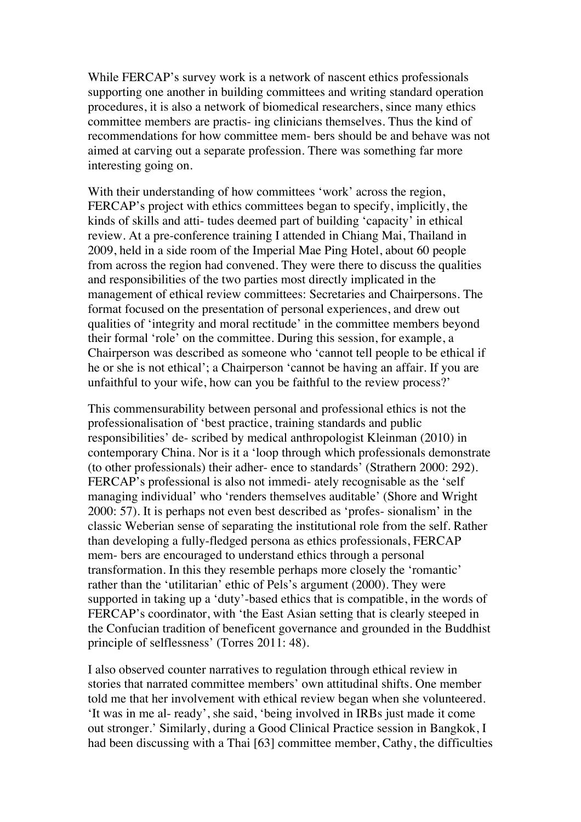While FERCAP's survey work is a network of nascent ethics professionals supporting one another in building committees and writing standard operation procedures, it is also a network of biomedical researchers, since many ethics committee members are practis- ing clinicians themselves. Thus the kind of recommendations for how committee mem- bers should be and behave was not aimed at carving out a separate profession. There was something far more interesting going on.

With their understanding of how committees 'work' across the region, FERCAP's project with ethics committees began to specify, implicitly, the kinds of skills and atti- tudes deemed part of building 'capacity' in ethical review. At a pre-conference training I attended in Chiang Mai, Thailand in 2009, held in a side room of the Imperial Mae Ping Hotel, about 60 people from across the region had convened. They were there to discuss the qualities and responsibilities of the two parties most directly implicated in the management of ethical review committees: Secretaries and Chairpersons. The format focused on the presentation of personal experiences, and drew out qualities of 'integrity and moral rectitude' in the committee members beyond their formal 'role' on the committee. During this session, for example, a Chairperson was described as someone who 'cannot tell people to be ethical if he or she is not ethical'; a Chairperson 'cannot be having an affair. If you are unfaithful to your wife, how can you be faithful to the review process?'

This commensurability between personal and professional ethics is not the professionalisation of 'best practice, training standards and public responsibilities' de- scribed by medical anthropologist Kleinman (2010) in contemporary China. Nor is it a 'loop through which professionals demonstrate (to other professionals) their adher- ence to standards' (Strathern 2000: 292). FERCAP's professional is also not immedi- ately recognisable as the 'self managing individual' who 'renders themselves auditable' (Shore and Wright 2000: 57). It is perhaps not even best described as 'profes- sionalism' in the classic Weberian sense of separating the institutional role from the self. Rather than developing a fully-fledged persona as ethics professionals, FERCAP mem- bers are encouraged to understand ethics through a personal transformation. In this they resemble perhaps more closely the 'romantic' rather than the 'utilitarian' ethic of Pels's argument (2000). They were supported in taking up a 'duty'-based ethics that is compatible, in the words of FERCAP's coordinator, with 'the East Asian setting that is clearly steeped in the Confucian tradition of beneficent governance and grounded in the Buddhist principle of selflessness' (Torres 2011: 48).

I also observed counter narratives to regulation through ethical review in stories that narrated committee members' own attitudinal shifts. One member told me that her involvement with ethical review began when she volunteered. 'It was in me al- ready', she said, 'being involved in IRBs just made it come out stronger.' Similarly, during a Good Clinical Practice session in Bangkok, I had been discussing with a Thai [63] committee member, Cathy, the difficulties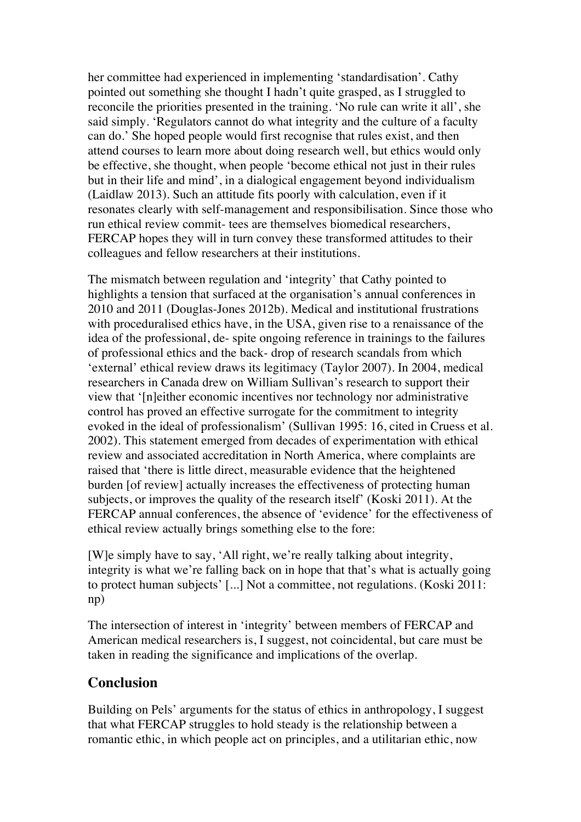her committee had experienced in implementing 'standardisation'. Cathy pointed out something she thought I hadn't quite grasped, as I struggled to reconcile the priorities presented in the training. 'No rule can write it all', she said simply. 'Regulators cannot do what integrity and the culture of a faculty can do.' She hoped people would first recognise that rules exist, and then attend courses to learn more about doing research well, but ethics would only be effective, she thought, when people 'become ethical not just in their rules but in their life and mind', in a dialogical engagement beyond individualism (Laidlaw 2013). Such an attitude fits poorly with calculation, even if it resonates clearly with self-management and responsibilisation. Since those who run ethical review commit- tees are themselves biomedical researchers, FERCAP hopes they will in turn convey these transformed attitudes to their colleagues and fellow researchers at their institutions.

The mismatch between regulation and 'integrity' that Cathy pointed to highlights a tension that surfaced at the organisation's annual conferences in 2010 and 2011 (Douglas-Jones 2012b). Medical and institutional frustrations with proceduralised ethics have, in the USA, given rise to a renaissance of the idea of the professional, de- spite ongoing reference in trainings to the failures of professional ethics and the back- drop of research scandals from which 'external' ethical review draws its legitimacy (Taylor 2007). In 2004, medical researchers in Canada drew on William Sullivan's research to support their view that '[n]either economic incentives nor technology nor administrative control has proved an effective surrogate for the commitment to integrity evoked in the ideal of professionalism' (Sullivan 1995: 16, cited in Cruess et al. 2002). This statement emerged from decades of experimentation with ethical review and associated accreditation in North America, where complaints are raised that 'there is little direct, measurable evidence that the heightened burden [of review] actually increases the effectiveness of protecting human subjects, or improves the quality of the research itself' (Koski 2011). At the FERCAP annual conferences, the absence of 'evidence' for the effectiveness of ethical review actually brings something else to the fore:

[W]e simply have to say, 'All right, we're really talking about integrity, integrity is what we're falling back on in hope that that's what is actually going to protect human subjects' [...] Not a committee, not regulations. (Koski 2011: np)

The intersection of interest in 'integrity' between members of FERCAP and American medical researchers is, I suggest, not coincidental, but care must be taken in reading the significance and implications of the overlap.

## **Conclusion**

Building on Pels' arguments for the status of ethics in anthropology, I suggest that what FERCAP struggles to hold steady is the relationship between a romantic ethic, in which people act on principles, and a utilitarian ethic, now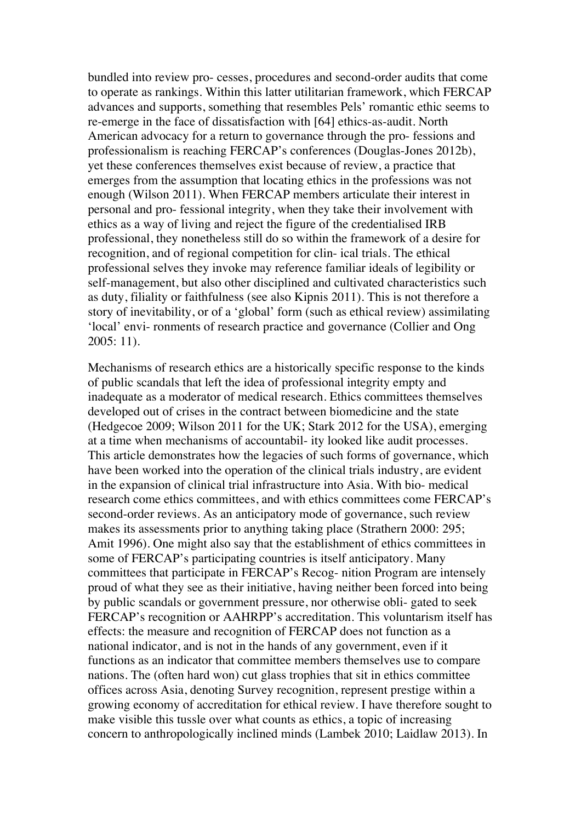bundled into review pro- cesses, procedures and second-order audits that come to operate as rankings. Within this latter utilitarian framework, which FERCAP advances and supports, something that resembles Pels' romantic ethic seems to re-emerge in the face of dissatisfaction with [64] ethics-as-audit. North American advocacy for a return to governance through the pro- fessions and professionalism is reaching FERCAP's conferences (Douglas-Jones 2012b), yet these conferences themselves exist because of review, a practice that emerges from the assumption that locating ethics in the professions was not enough (Wilson 2011). When FERCAP members articulate their interest in personal and pro- fessional integrity, when they take their involvement with ethics as a way of living and reject the figure of the credentialised IRB professional, they nonetheless still do so within the framework of a desire for recognition, and of regional competition for clin- ical trials. The ethical professional selves they invoke may reference familiar ideals of legibility or self-management, but also other disciplined and cultivated characteristics such as duty, filiality or faithfulness (see also Kipnis 2011). This is not therefore a story of inevitability, or of a 'global' form (such as ethical review) assimilating 'local' envi- ronments of research practice and governance (Collier and Ong 2005: 11).

Mechanisms of research ethics are a historically specific response to the kinds of public scandals that left the idea of professional integrity empty and inadequate as a moderator of medical research. Ethics committees themselves developed out of crises in the contract between biomedicine and the state (Hedgecoe 2009; Wilson 2011 for the UK; Stark 2012 for the USA), emerging at a time when mechanisms of accountabil- ity looked like audit processes. This article demonstrates how the legacies of such forms of governance, which have been worked into the operation of the clinical trials industry, are evident in the expansion of clinical trial infrastructure into Asia. With bio- medical research come ethics committees, and with ethics committees come FERCAP's second-order reviews. As an anticipatory mode of governance, such review makes its assessments prior to anything taking place (Strathern 2000: 295; Amit 1996). One might also say that the establishment of ethics committees in some of FERCAP's participating countries is itself anticipatory. Many committees that participate in FERCAP's Recog- nition Program are intensely proud of what they see as their initiative, having neither been forced into being by public scandals or government pressure, nor otherwise obli- gated to seek FERCAP's recognition or AAHRPP's accreditation. This voluntarism itself has effects: the measure and recognition of FERCAP does not function as a national indicator, and is not in the hands of any government, even if it functions as an indicator that committee members themselves use to compare nations. The (often hard won) cut glass trophies that sit in ethics committee offices across Asia, denoting Survey recognition, represent prestige within a growing economy of accreditation for ethical review. I have therefore sought to make visible this tussle over what counts as ethics, a topic of increasing concern to anthropologically inclined minds (Lambek 2010; Laidlaw 2013). In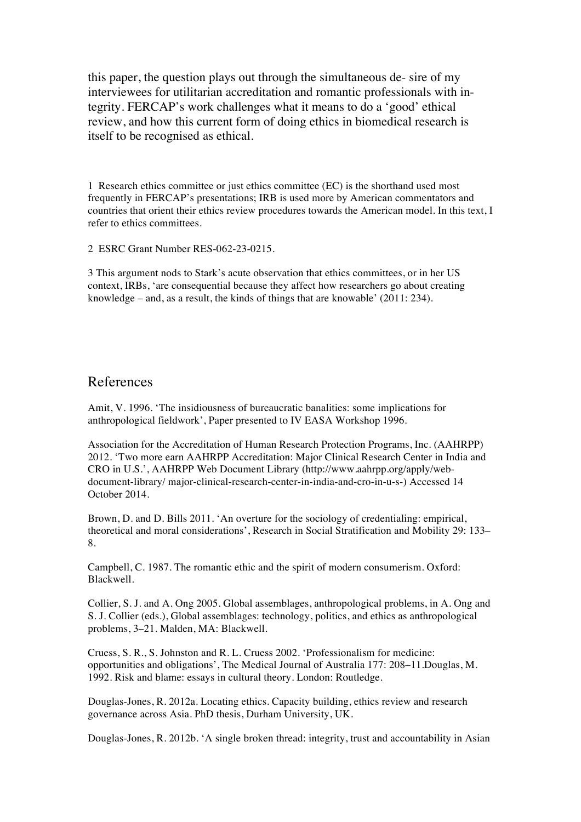this paper, the question plays out through the simultaneous de- sire of my interviewees for utilitarian accreditation and romantic professionals with integrity. FERCAP's work challenges what it means to do a 'good' ethical review, and how this current form of doing ethics in biomedical research is itself to be recognised as ethical.

1 Research ethics committee or just ethics committee (EC) is the shorthand used most frequently in FERCAP's presentations; IRB is used more by American commentators and countries that orient their ethics review procedures towards the American model. In this text, I refer to ethics committees.

2 ESRC Grant Number RES-062-23-0215.

3 This argument nods to Stark's acute observation that ethics committees, or in her US context, IRBs, 'are consequential because they affect how researchers go about creating knowledge – and, as a result, the kinds of things that are knowable' (2011: 234).

#### References

Amit, V. 1996. 'The insidiousness of bureaucratic banalities: some implications for anthropological fieldwork', Paper presented to IV EASA Workshop 1996.

Association for the Accreditation of Human Research Protection Programs, Inc. (AAHRPP) 2012. 'Two more earn AAHRPP Accreditation: Major Clinical Research Center in India and CRO in U.S.', AAHRPP Web Document Library (http://www.aahrpp.org/apply/webdocument-library/ major-clinical-research-center-in-india-and-cro-in-u-s-) Accessed 14 October 2014.

Brown, D. and D. Bills 2011. 'An overture for the sociology of credentialing: empirical, theoretical and moral considerations', Research in Social Stratification and Mobility 29: 133– 8.

Campbell, C. 1987. The romantic ethic and the spirit of modern consumerism. Oxford: Blackwell.

Collier, S. J. and A. Ong 2005. Global assemblages, anthropological problems, in A. Ong and S. J. Collier (eds.), Global assemblages: technology, politics, and ethics as anthropological problems, 3–21. Malden, MA: Blackwell.

Cruess, S. R., S. Johnston and R. L. Cruess 2002. 'Professionalism for medicine: opportunities and obligations', The Medical Journal of Australia 177: 208–11.Douglas, M. 1992. Risk and blame: essays in cultural theory. London: Routledge.

Douglas-Jones, R. 2012a. Locating ethics. Capacity building, ethics review and research governance across Asia. PhD thesis, Durham University, UK.

Douglas-Jones, R. 2012b. 'A single broken thread: integrity, trust and accountability in Asian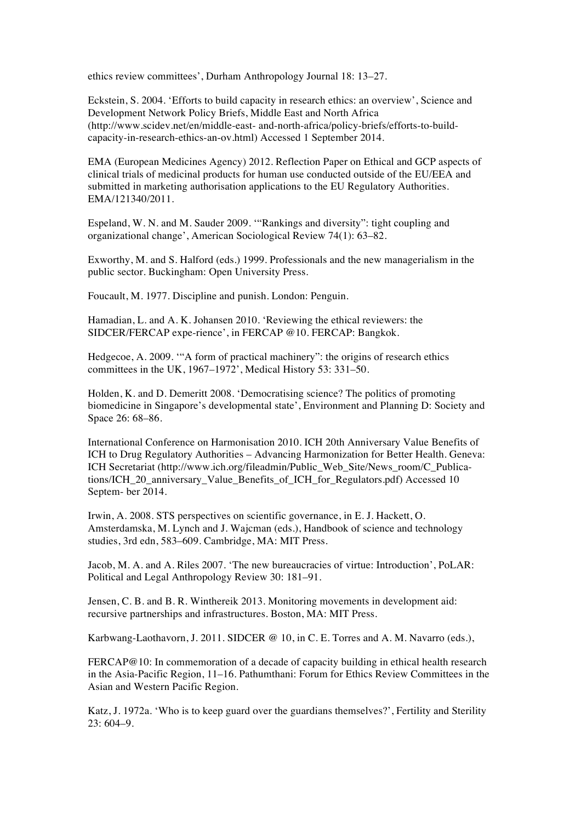ethics review committees', Durham Anthropology Journal 18: 13–27.

Eckstein, S. 2004. 'Efforts to build capacity in research ethics: an overview', Science and Development Network Policy Briefs, Middle East and North Africa (http://www.scidev.net/en/middle-east- and-north-africa/policy-briefs/efforts-to-buildcapacity-in-research-ethics-an-ov.html) Accessed 1 September 2014.

EMA (European Medicines Agency) 2012. Reflection Paper on Ethical and GCP aspects of clinical trials of medicinal products for human use conducted outside of the EU/EEA and submitted in marketing authorisation applications to the EU Regulatory Authorities. EMA/121340/2011.

Espeland, W. N. and M. Sauder 2009. '"Rankings and diversity": tight coupling and organizational change', American Sociological Review 74(1): 63–82.

Exworthy, M. and S. Halford (eds.) 1999. Professionals and the new managerialism in the public sector. Buckingham: Open University Press.

Foucault, M. 1977. Discipline and punish. London: Penguin.

Hamadian, L. and A. K. Johansen 2010. 'Reviewing the ethical reviewers: the SIDCER/FERCAP expe-rience', in FERCAP @10. FERCAP: Bangkok.

Hedgecoe, A. 2009. '"A form of practical machinery": the origins of research ethics committees in the UK,  $1967-1972$ ', Medical History 53: 331–50.

Holden, K. and D. Demeritt 2008. 'Democratising science? The politics of promoting biomedicine in Singapore's developmental state', Environment and Planning D: Society and Space 26: 68–86.

International Conference on Harmonisation 2010. ICH 20th Anniversary Value Benefits of ICH to Drug Regulatory Authorities – Advancing Harmonization for Better Health. Geneva: ICH Secretariat (http://www.ich.org/fileadmin/Public\_Web\_Site/News\_room/C\_Publications/ICH\_20\_anniversary\_Value\_Benefits\_of\_ICH\_for\_Regulators.pdf) Accessed 10 Septem- ber 2014.

Irwin, A. 2008. STS perspectives on scientific governance, in E. J. Hackett, O. Amsterdamska, M. Lynch and J. Wajcman (eds.), Handbook of science and technology studies, 3rd edn, 583–609. Cambridge, MA: MIT Press.

Jacob, M. A. and A. Riles 2007. 'The new bureaucracies of virtue: Introduction', PoLAR: Political and Legal Anthropology Review 30: 181–91.

Jensen, C. B. and B. R. Winthereik 2013. Monitoring movements in development aid: recursive partnerships and infrastructures. Boston, MA: MIT Press.

Karbwang-Laothavorn, J. 2011. SIDCER @ 10, in C. E. Torres and A. M. Navarro (eds.),

FERCAP@10: In commemoration of a decade of capacity building in ethical health research in the Asia-Pacific Region, 11–16. Pathumthani: Forum for Ethics Review Committees in the Asian and Western Pacific Region.

Katz, J. 1972a. 'Who is to keep guard over the guardians themselves?', Fertility and Sterility 23: 604–9.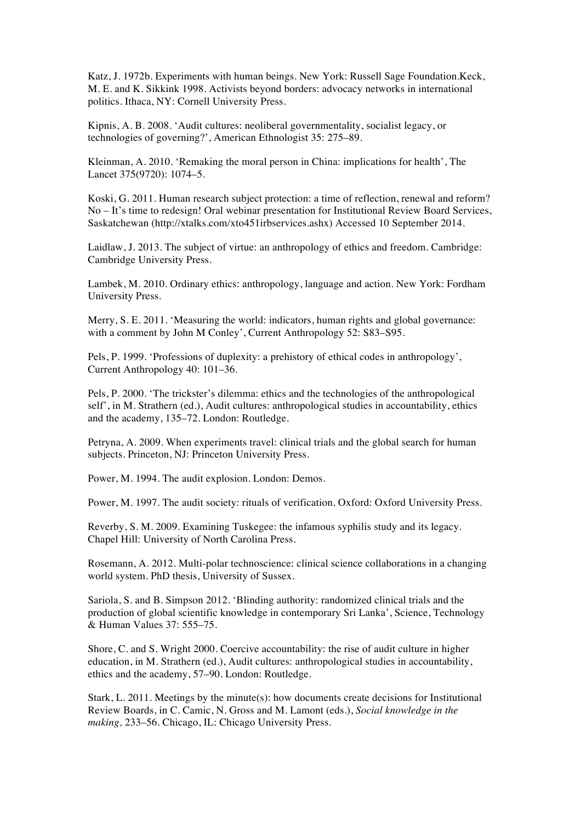Katz, J. 1972b. Experiments with human beings. New York: Russell Sage Foundation.Keck, M. E. and K. Sikkink 1998. Activists beyond borders: advocacy networks in international politics. Ithaca, NY: Cornell University Press.

Kipnis, A. B. 2008. 'Audit cultures: neoliberal governmentality, socialist legacy, or technologies of governing?', American Ethnologist 35: 275–89.

Kleinman, A. 2010. 'Remaking the moral person in China: implications for health', The Lancet 375(9720): 1074–5.

Koski, G. 2011. Human research subject protection: a time of reflection, renewal and reform? No – It's time to redesign! Oral webinar presentation for Institutional Review Board Services, Saskatchewan (http://xtalks.com/xto451irbservices.ashx) Accessed 10 September 2014.

Laidlaw, J. 2013. The subject of virtue: an anthropology of ethics and freedom. Cambridge: Cambridge University Press.

Lambek, M. 2010. Ordinary ethics: anthropology, language and action. New York: Fordham University Press.

Merry, S. E. 2011. 'Measuring the world: indicators, human rights and global governance: with a comment by John M Conley', Current Anthropology 52: S83–S95.

Pels, P. 1999. 'Professions of duplexity: a prehistory of ethical codes in anthropology', Current Anthropology 40: 101–36.

Pels, P. 2000. 'The trickster's dilemma: ethics and the technologies of the anthropological self', in M. Strathern (ed.), Audit cultures: anthropological studies in accountability, ethics and the academy, 135–72. London: Routledge.

Petryna, A. 2009. When experiments travel: clinical trials and the global search for human subjects. Princeton, NJ: Princeton University Press.

Power, M. 1994. The audit explosion. London: Demos.

Power, M. 1997. The audit society: rituals of verification. Oxford: Oxford University Press.

Reverby, S. M. 2009. Examining Tuskegee: the infamous syphilis study and its legacy. Chapel Hill: University of North Carolina Press.

Rosemann, A. 2012. Multi-polar technoscience: clinical science collaborations in a changing world system. PhD thesis, University of Sussex.

Sariola, S. and B. Simpson 2012. 'Blinding authority: randomized clinical trials and the production of global scientific knowledge in contemporary Sri Lanka', Science, Technology & Human Values 37: 555–75.

Shore, C. and S. Wright 2000. Coercive accountability: the rise of audit culture in higher education, in M. Strathern (ed.), Audit cultures: anthropological studies in accountability, ethics and the academy, 57–90. London: Routledge.

Stark, L. 2011. Meetings by the minute(s): how documents create decisions for Institutional Review Boards, in C. Camic, N. Gross and M. Lamont (eds.), *Social knowledge in the making,* 233–56. Chicago, IL: Chicago University Press.